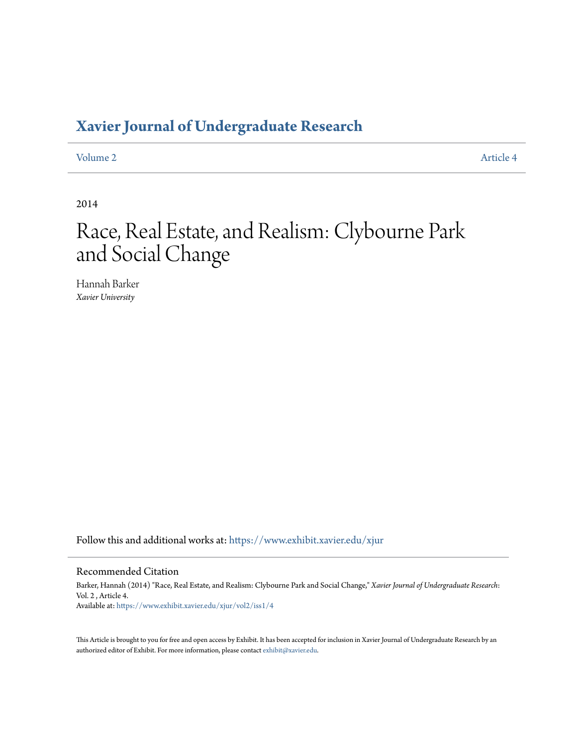### **[Xavier Journal of Undergraduate Research](https://www.exhibit.xavier.edu/xjur?utm_source=www.exhibit.xavier.edu%2Fxjur%2Fvol2%2Fiss1%2F4&utm_medium=PDF&utm_campaign=PDFCoverPages)**

[Volume 2](https://www.exhibit.xavier.edu/xjur/vol2?utm_source=www.exhibit.xavier.edu%2Fxjur%2Fvol2%2Fiss1%2F4&utm_medium=PDF&utm_campaign=PDFCoverPages) [Article 4](https://www.exhibit.xavier.edu/xjur/vol2/iss1/4?utm_source=www.exhibit.xavier.edu%2Fxjur%2Fvol2%2Fiss1%2F4&utm_medium=PDF&utm_campaign=PDFCoverPages)

2014

## Race, Real Estate, and Realism: Clybourne Park and Social Change

Hannah Barker *Xavier University*

Follow this and additional works at: [https://www.exhibit.xavier.edu/xjur](https://www.exhibit.xavier.edu/xjur?utm_source=www.exhibit.xavier.edu%2Fxjur%2Fvol2%2Fiss1%2F4&utm_medium=PDF&utm_campaign=PDFCoverPages)

#### Recommended Citation

Barker, Hannah (2014) "Race, Real Estate, and Realism: Clybourne Park and Social Change," *Xavier Journal of Undergraduate Research*: Vol. 2 , Article 4. Available at: [https://www.exhibit.xavier.edu/xjur/vol2/iss1/4](https://www.exhibit.xavier.edu/xjur/vol2/iss1/4?utm_source=www.exhibit.xavier.edu%2Fxjur%2Fvol2%2Fiss1%2F4&utm_medium=PDF&utm_campaign=PDFCoverPages)

This Article is brought to you for free and open access by Exhibit. It has been accepted for inclusion in Xavier Journal of Undergraduate Research by an authorized editor of Exhibit. For more information, please contact [exhibit@xavier.edu.](mailto:exhibit@xavier.edu)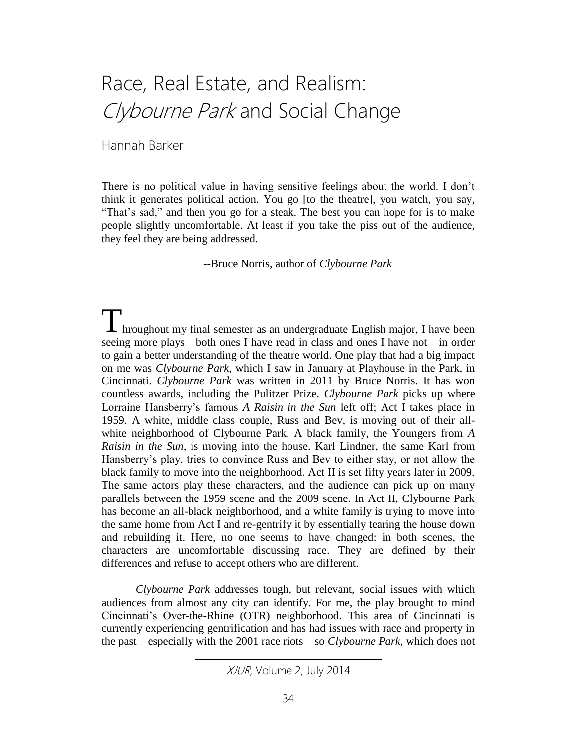# Race, Real Estate, and Realism: Clybourne Park and Social Change

Hannah Barker

There is no political value in having sensitive feelings about the world. I don't think it generates political action. You go [to the theatre], you watch, you say, "That's sad," and then you go for a steak. The best you can hope for is to make people slightly uncomfortable. At least if you take the piss out of the audience, they feel they are being addressed.

--Bruce Norris, author of *Clybourne Park*

Throughout my final semester as an undergraduate English major, I have been seeing more plays—both ones I have read in class and ones I have not—in order to gain a better understanding of the theatre world. One play that had a big impact on me was *Clybourne Park*, which I saw in January at Playhouse in the Park, in Cincinnati. *Clybourne Park* was written in 2011 by Bruce Norris. It has won countless awards, including the Pulitzer Prize. *Clybourne Park* picks up where Lorraine Hansberry's famous *A Raisin in the Sun* left off; Act I takes place in 1959. A white, middle class couple, Russ and Bev, is moving out of their allwhite neighborhood of Clybourne Park. A black family, the Youngers from *A Raisin in the Sun*, is moving into the house. Karl Lindner, the same Karl from Hansberry's play, tries to convince Russ and Bev to either stay, or not allow the black family to move into the neighborhood. Act II is set fifty years later in 2009. The same actors play these characters, and the audience can pick up on many parallels between the 1959 scene and the 2009 scene. In Act II, Clybourne Park has become an all-black neighborhood, and a white family is trying to move into the same home from Act I and re-gentrify it by essentially tearing the house down and rebuilding it. Here, no one seems to have changed: in both scenes, the characters are uncomfortable discussing race. They are defined by their differences and refuse to accept others who are different.

*Clybourne Park* addresses tough, but relevant, social issues with which audiences from almost any city can identify. For me, the play brought to mind Cincinnati's Over-the-Rhine (OTR) neighborhood. This area of Cincinnati is currently experiencing gentrification and has had issues with race and property in the past—especially with the 2001 race riots—so *Clybourne Park*, which does not

XJUR, Volume 2, July 2014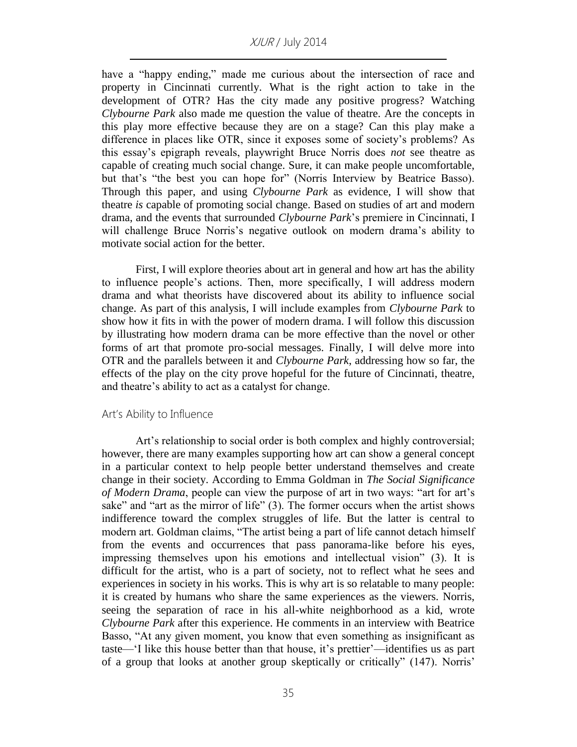have a "happy ending," made me curious about the intersection of race and property in Cincinnati currently. What is the right action to take in the development of OTR? Has the city made any positive progress? Watching *Clybourne Park* also made me question the value of theatre. Are the concepts in this play more effective because they are on a stage? Can this play make a difference in places like OTR, since it exposes some of society's problems? As this essay's epigraph reveals, playwright Bruce Norris does *not* see theatre as capable of creating much social change. Sure, it can make people uncomfortable, but that's "the best you can hope for" (Norris Interview by Beatrice Basso). Through this paper, and using *Clybourne Park* as evidence, I will show that theatre *is* capable of promoting social change. Based on studies of art and modern drama, and the events that surrounded *Clybourne Park*'s premiere in Cincinnati, I will challenge Bruce Norris's negative outlook on modern drama's ability to motivate social action for the better.

First, I will explore theories about art in general and how art has the ability to influence people's actions. Then, more specifically, I will address modern drama and what theorists have discovered about its ability to influence social change. As part of this analysis, I will include examples from *Clybourne Park* to show how it fits in with the power of modern drama. I will follow this discussion by illustrating how modern drama can be more effective than the novel or other forms of art that promote pro-social messages. Finally, I will delve more into OTR and the parallels between it and *Clybourne Park*, addressing how so far, the effects of the play on the city prove hopeful for the future of Cincinnati, theatre, and theatre's ability to act as a catalyst for change.

#### Art's Ability to Influence

Art's relationship to social order is both complex and highly controversial; however, there are many examples supporting how art can show a general concept in a particular context to help people better understand themselves and create change in their society. According to Emma Goldman in *The Social Significance of Modern Drama*, people can view the purpose of art in two ways: "art for art's sake" and "art as the mirror of life" (3). The former occurs when the artist shows indifference toward the complex struggles of life. But the latter is central to modern art. Goldman claims, "The artist being a part of life cannot detach himself from the events and occurrences that pass panorama-like before his eyes, impressing themselves upon his emotions and intellectual vision" (3). It is difficult for the artist, who is a part of society, not to reflect what he sees and experiences in society in his works. This is why art is so relatable to many people: it is created by humans who share the same experiences as the viewers. Norris, seeing the separation of race in his all-white neighborhood as a kid, wrote *Clybourne Park* after this experience. He comments in an interview with Beatrice Basso, "At any given moment, you know that even something as insignificant as taste—'I like this house better than that house, it's prettier'—identifies us as part of a group that looks at another group skeptically or critically" (147). Norris'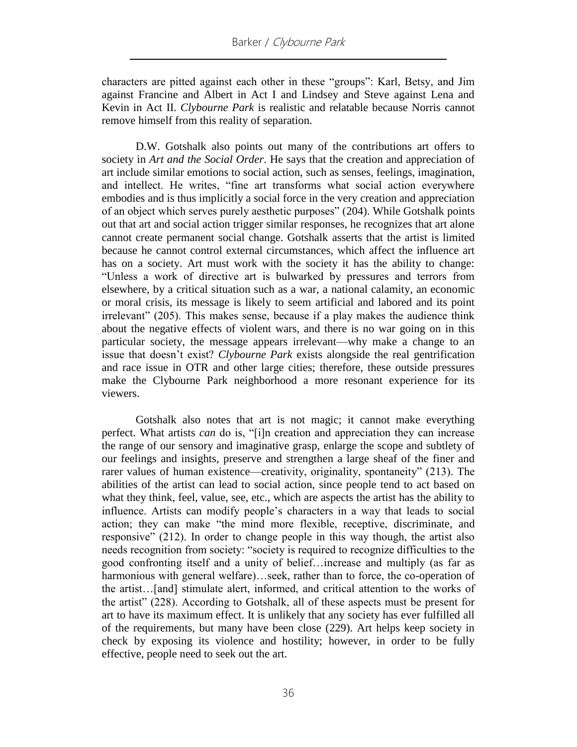characters are pitted against each other in these "groups": Karl, Betsy, and Jim against Francine and Albert in Act I and Lindsey and Steve against Lena and Kevin in Act II. *Clybourne Park* is realistic and relatable because Norris cannot remove himself from this reality of separation.

D.W. Gotshalk also points out many of the contributions art offers to society in *Art and the Social Order*. He says that the creation and appreciation of art include similar emotions to social action, such as senses, feelings, imagination, and intellect. He writes, "fine art transforms what social action everywhere embodies and is thus implicitly a social force in the very creation and appreciation of an object which serves purely aesthetic purposes" (204). While Gotshalk points out that art and social action trigger similar responses, he recognizes that art alone cannot create permanent social change. Gotshalk asserts that the artist is limited because he cannot control external circumstances, which affect the influence art has on a society. Art must work with the society it has the ability to change: "Unless a work of directive art is bulwarked by pressures and terrors from elsewhere, by a critical situation such as a war, a national calamity, an economic or moral crisis, its message is likely to seem artificial and labored and its point irrelevant" (205). This makes sense, because if a play makes the audience think about the negative effects of violent wars, and there is no war going on in this particular society, the message appears irrelevant—why make a change to an issue that doesn't exist? *Clybourne Park* exists alongside the real gentrification and race issue in OTR and other large cities; therefore, these outside pressures make the Clybourne Park neighborhood a more resonant experience for its viewers.

Gotshalk also notes that art is not magic; it cannot make everything perfect. What artists *can* do is, "[i]n creation and appreciation they can increase the range of our sensory and imaginative grasp, enlarge the scope and subtlety of our feelings and insights, preserve and strengthen a large sheaf of the finer and rarer values of human existence—creativity, originality, spontaneity" (213). The abilities of the artist can lead to social action, since people tend to act based on what they think, feel, value, see, etc., which are aspects the artist has the ability to influence. Artists can modify people's characters in a way that leads to social action; they can make "the mind more flexible, receptive, discriminate, and responsive" (212). In order to change people in this way though, the artist also needs recognition from society: "society is required to recognize difficulties to the good confronting itself and a unity of belief…increase and multiply (as far as harmonious with general welfare)…seek, rather than to force, the co-operation of the artist…[and] stimulate alert, informed, and critical attention to the works of the artist" (228). According to Gotshalk, all of these aspects must be present for art to have its maximum effect. It is unlikely that any society has ever fulfilled all of the requirements, but many have been close (229). Art helps keep society in check by exposing its violence and hostility; however, in order to be fully effective, people need to seek out the art.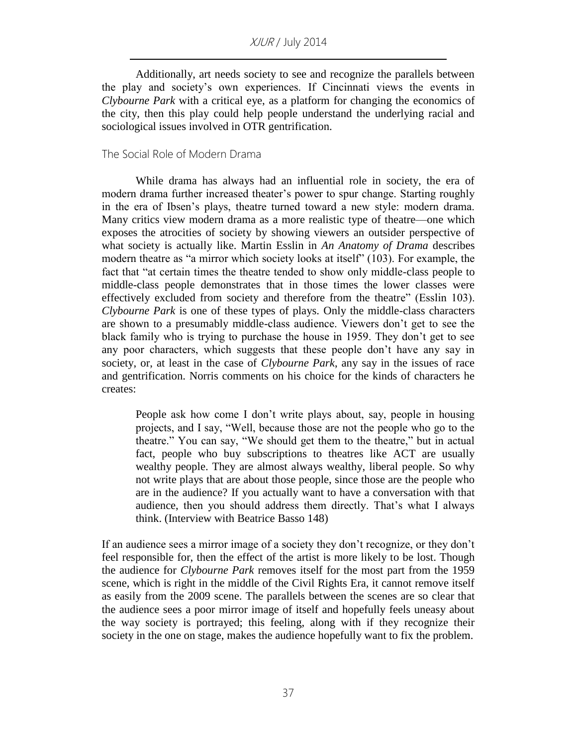Additionally, art needs society to see and recognize the parallels between the play and society's own experiences. If Cincinnati views the events in *Clybourne Park* with a critical eye, as a platform for changing the economics of the city, then this play could help people understand the underlying racial and sociological issues involved in OTR gentrification.

#### The Social Role of Modern Drama

While drama has always had an influential role in society, the era of modern drama further increased theater's power to spur change. Starting roughly in the era of Ibsen's plays, theatre turned toward a new style: modern drama. Many critics view modern drama as a more realistic type of theatre—one which exposes the atrocities of society by showing viewers an outsider perspective of what society is actually like. Martin Esslin in *An Anatomy of Drama* describes modern theatre as "a mirror which society looks at itself" (103). For example, the fact that "at certain times the theatre tended to show only middle-class people to middle-class people demonstrates that in those times the lower classes were effectively excluded from society and therefore from the theatre" (Esslin 103). *Clybourne Park* is one of these types of plays. Only the middle-class characters are shown to a presumably middle-class audience. Viewers don't get to see the black family who is trying to purchase the house in 1959. They don't get to see any poor characters, which suggests that these people don't have any say in society, or, at least in the case of *Clybourne Park*, any say in the issues of race and gentrification. Norris comments on his choice for the kinds of characters he creates:

People ask how come I don't write plays about, say, people in housing projects, and I say, "Well, because those are not the people who go to the theatre." You can say, "We should get them to the theatre," but in actual fact, people who buy subscriptions to theatres like ACT are usually wealthy people. They are almost always wealthy, liberal people. So why not write plays that are about those people, since those are the people who are in the audience? If you actually want to have a conversation with that audience, then you should address them directly. That's what I always think. (Interview with Beatrice Basso 148)

If an audience sees a mirror image of a society they don't recognize, or they don't feel responsible for, then the effect of the artist is more likely to be lost. Though the audience for *Clybourne Park* removes itself for the most part from the 1959 scene, which is right in the middle of the Civil Rights Era, it cannot remove itself as easily from the 2009 scene. The parallels between the scenes are so clear that the audience sees a poor mirror image of itself and hopefully feels uneasy about the way society is portrayed; this feeling, along with if they recognize their society in the one on stage, makes the audience hopefully want to fix the problem.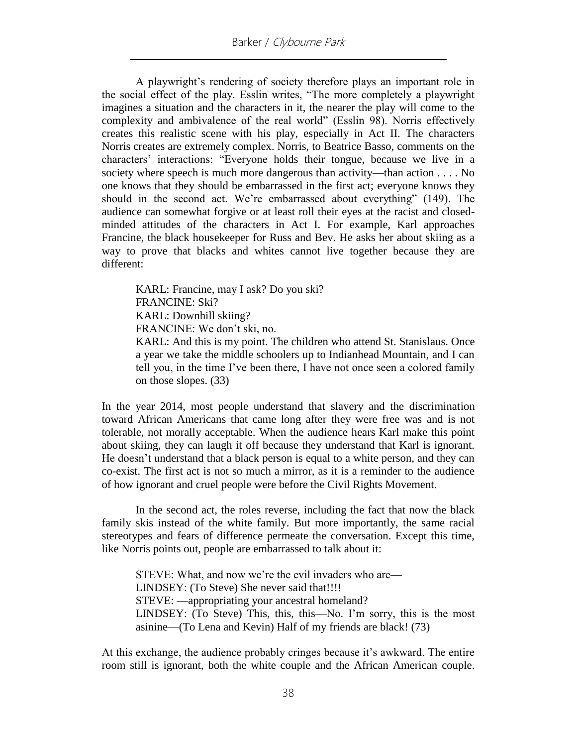A playwright's rendering of society therefore plays an important role in the social effect of the play. Esslin writes, "The more completely a playwright imagines a situation and the characters in it, the nearer the play will come to the complexity and ambivalence of the real world" (Esslin 98). Norris effectively creates this realistic scene with his play, especially in Act II. The characters Norris creates are extremely complex. Norris, to Beatrice Basso, comments on the characters' interactions: "Everyone holds their tongue, because we live in a society where speech is much more dangerous than activity—than action . . . . No one knows that they should be embarrassed in the first act; everyone knows they should in the second act. We're embarrassed about everything" (149). The audience can somewhat forgive or at least roll their eyes at the racist and closedminded attitudes of the characters in Act I. For example, Karl approaches Francine, the black housekeeper for Russ and Bev. He asks her about skiing as a way to prove that blacks and whites cannot live together because they are different:

KARL: Francine, may I ask? Do you ski? FRANCINE: Ski? KARL: Downhill skiing? FRANCINE: We don't ski, no. KARL: And this is my point. The children who attend St. Stanislaus. Once

a year we take the middle schoolers up to Indianhead Mountain, and I can tell you, in the time I've been there, I have not once seen a colored family on those slopes. (33)

In the year 2014, most people understand that slavery and the discrimination toward African Americans that came long after they were free was and is not tolerable, not morally acceptable. When the audience hears Karl make this point about skiing, they can laugh it off because they understand that Karl is ignorant. He doesn't understand that a black person is equal to a white person, and they can co-exist. The first act is not so much a mirror, as it is a reminder to the audience of how ignorant and cruel people were before the Civil Rights Movement.

In the second act, the roles reverse, including the fact that now the black family skis instead of the white family. But more importantly, the same racial stereotypes and fears of difference permeate the conversation. Except this time, like Norris points out, people are embarrassed to talk about it:

STEVE: What, and now we're the evil invaders who are— LINDSEY: (To Steve) She never said that!!!! STEVE: —appropriating your ancestral homeland? LINDSEY: (To Steve) This, this, this—No. I'm sorry, this is the most asinine—(To Lena and Kevin) Half of my friends are black! (73)

At this exchange, the audience probably cringes because it's awkward. The entire room still is ignorant, both the white couple and the African American couple.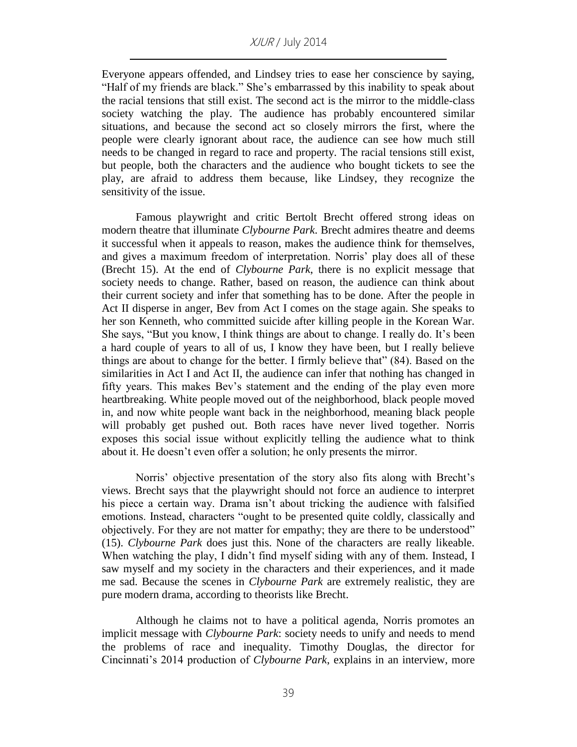Everyone appears offended, and Lindsey tries to ease her conscience by saying, "Half of my friends are black." She's embarrassed by this inability to speak about the racial tensions that still exist. The second act is the mirror to the middle-class society watching the play. The audience has probably encountered similar situations, and because the second act so closely mirrors the first, where the people were clearly ignorant about race, the audience can see how much still needs to be changed in regard to race and property. The racial tensions still exist, but people, both the characters and the audience who bought tickets to see the play, are afraid to address them because, like Lindsey, they recognize the sensitivity of the issue.

Famous playwright and critic Bertolt Brecht offered strong ideas on modern theatre that illuminate *Clybourne Park*. Brecht admires theatre and deems it successful when it appeals to reason, makes the audience think for themselves, and gives a maximum freedom of interpretation. Norris' play does all of these (Brecht 15). At the end of *Clybourne Park*, there is no explicit message that society needs to change. Rather, based on reason, the audience can think about their current society and infer that something has to be done. After the people in Act II disperse in anger, Bev from Act I comes on the stage again. She speaks to her son Kenneth, who committed suicide after killing people in the Korean War. She says, "But you know, I think things are about to change. I really do. It's been a hard couple of years to all of us, I know they have been, but I really believe things are about to change for the better. I firmly believe that" (84). Based on the similarities in Act I and Act II, the audience can infer that nothing has changed in fifty years. This makes Bev's statement and the ending of the play even more heartbreaking. White people moved out of the neighborhood, black people moved in, and now white people want back in the neighborhood, meaning black people will probably get pushed out. Both races have never lived together. Norris exposes this social issue without explicitly telling the audience what to think about it. He doesn't even offer a solution; he only presents the mirror.

Norris' objective presentation of the story also fits along with Brecht's views. Brecht says that the playwright should not force an audience to interpret his piece a certain way. Drama isn't about tricking the audience with falsified emotions. Instead, characters "ought to be presented quite coldly, classically and objectively. For they are not matter for empathy; they are there to be understood" (15). *Clybourne Park* does just this. None of the characters are really likeable. When watching the play, I didn't find myself siding with any of them. Instead, I saw myself and my society in the characters and their experiences, and it made me sad. Because the scenes in *Clybourne Park* are extremely realistic, they are pure modern drama, according to theorists like Brecht.

Although he claims not to have a political agenda, Norris promotes an implicit message with *Clybourne Park*: society needs to unify and needs to mend the problems of race and inequality. Timothy Douglas, the director for Cincinnati's 2014 production of *Clybourne Park*, explains in an interview, more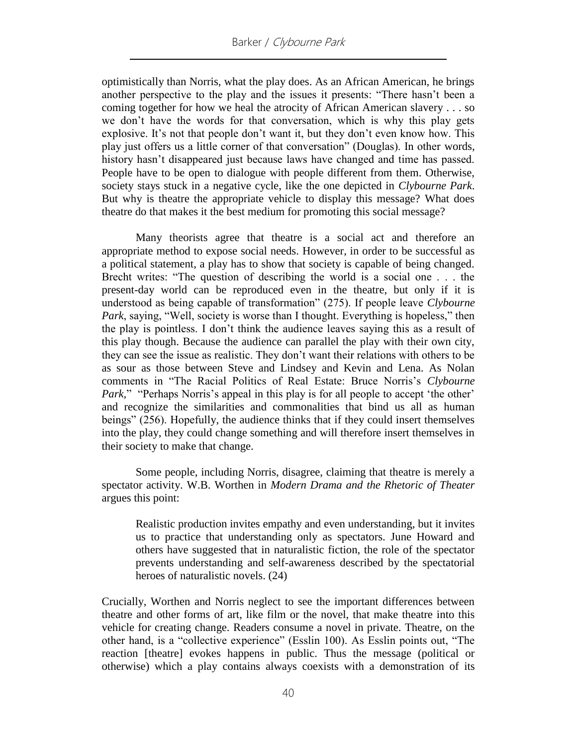optimistically than Norris, what the play does. As an African American, he brings another perspective to the play and the issues it presents: "There hasn't been a coming together for how we heal the atrocity of African American slavery . . . so we don't have the words for that conversation, which is why this play gets explosive. It's not that people don't want it, but they don't even know how. This play just offers us a little corner of that conversation" (Douglas). In other words, history hasn't disappeared just because laws have changed and time has passed. People have to be open to dialogue with people different from them. Otherwise, society stays stuck in a negative cycle, like the one depicted in *Clybourne Park*. But why is theatre the appropriate vehicle to display this message? What does theatre do that makes it the best medium for promoting this social message?

Many theorists agree that theatre is a social act and therefore an appropriate method to expose social needs. However, in order to be successful as a political statement, a play has to show that society is capable of being changed. Brecht writes: "The question of describing the world is a social one . . . the present-day world can be reproduced even in the theatre, but only if it is understood as being capable of transformation" (275). If people leave *Clybourne Park*, saying, "Well, society is worse than I thought. Everything is hopeless," then the play is pointless. I don't think the audience leaves saying this as a result of this play though. Because the audience can parallel the play with their own city, they can see the issue as realistic. They don't want their relations with others to be as sour as those between Steve and Lindsey and Kevin and Lena. As Nolan comments in "The Racial Politics of Real Estate: Bruce Norris's *Clybourne Park,*" "Perhaps Norris's appeal in this play is for all people to accept 'the other' and recognize the similarities and commonalities that bind us all as human beings" (256). Hopefully, the audience thinks that if they could insert themselves into the play, they could change something and will therefore insert themselves in their society to make that change.

Some people, including Norris, disagree, claiming that theatre is merely a spectator activity. W.B. Worthen in *Modern Drama and the Rhetoric of Theater* argues this point:

Realistic production invites empathy and even understanding, but it invites us to practice that understanding only as spectators. June Howard and others have suggested that in naturalistic fiction, the role of the spectator prevents understanding and self-awareness described by the spectatorial heroes of naturalistic novels. (24)

Crucially, Worthen and Norris neglect to see the important differences between theatre and other forms of art, like film or the novel, that make theatre into this vehicle for creating change. Readers consume a novel in private. Theatre, on the other hand, is a "collective experience" (Esslin 100). As Esslin points out, "The reaction [theatre] evokes happens in public. Thus the message (political or otherwise) which a play contains always coexists with a demonstration of its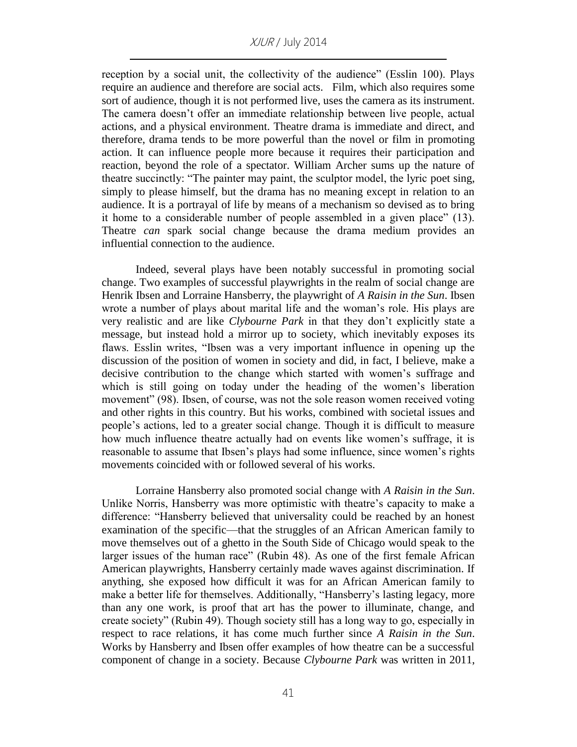reception by a social unit, the collectivity of the audience" (Esslin 100). Plays require an audience and therefore are social acts. Film, which also requires some sort of audience, though it is not performed live, uses the camera as its instrument. The camera doesn't offer an immediate relationship between live people, actual actions, and a physical environment. Theatre drama is immediate and direct, and therefore, drama tends to be more powerful than the novel or film in promoting action. It can influence people more because it requires their participation and reaction, beyond the role of a spectator. William Archer sums up the nature of theatre succinctly: "The painter may paint, the sculptor model, the lyric poet sing, simply to please himself, but the drama has no meaning except in relation to an audience. It is a portrayal of life by means of a mechanism so devised as to bring it home to a considerable number of people assembled in a given place" (13). Theatre *can* spark social change because the drama medium provides an influential connection to the audience.

Indeed, several plays have been notably successful in promoting social change. Two examples of successful playwrights in the realm of social change are Henrik Ibsen and Lorraine Hansberry, the playwright of *A Raisin in the Sun*. Ibsen wrote a number of plays about marital life and the woman's role. His plays are very realistic and are like *Clybourne Park* in that they don't explicitly state a message, but instead hold a mirror up to society, which inevitably exposes its flaws. Esslin writes, "Ibsen was a very important influence in opening up the discussion of the position of women in society and did, in fact, I believe, make a decisive contribution to the change which started with women's suffrage and which is still going on today under the heading of the women's liberation movement" (98). Ibsen, of course, was not the sole reason women received voting and other rights in this country. But his works, combined with societal issues and people's actions, led to a greater social change. Though it is difficult to measure how much influence theatre actually had on events like women's suffrage, it is reasonable to assume that Ibsen's plays had some influence, since women's rights movements coincided with or followed several of his works.

Lorraine Hansberry also promoted social change with *A Raisin in the Sun*. Unlike Norris, Hansberry was more optimistic with theatre's capacity to make a difference: "Hansberry believed that universality could be reached by an honest examination of the specific—that the struggles of an African American family to move themselves out of a ghetto in the South Side of Chicago would speak to the larger issues of the human race" (Rubin 48). As one of the first female African American playwrights, Hansberry certainly made waves against discrimination. If anything, she exposed how difficult it was for an African American family to make a better life for themselves. Additionally, "Hansberry's lasting legacy, more than any one work, is proof that art has the power to illuminate, change, and create society" (Rubin 49). Though society still has a long way to go, especially in respect to race relations, it has come much further since *A Raisin in the Sun*. Works by Hansberry and Ibsen offer examples of how theatre can be a successful component of change in a society. Because *Clybourne Park* was written in 2011,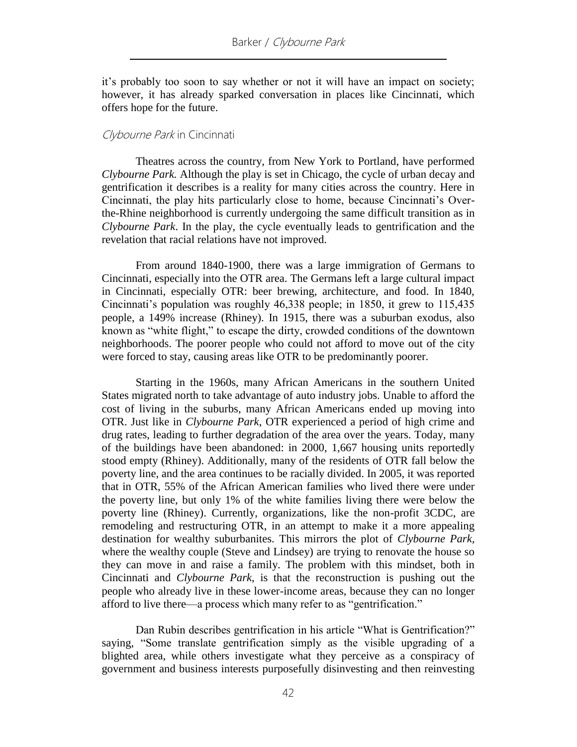it's probably too soon to say whether or not it will have an impact on society; however, it has already sparked conversation in places like Cincinnati, which offers hope for the future.

#### Clybourne Park in Cincinnati

Theatres across the country, from New York to Portland, have performed *Clybourne Park.* Although the play is set in Chicago, the cycle of urban decay and gentrification it describes is a reality for many cities across the country. Here in Cincinnati, the play hits particularly close to home, because Cincinnati's Overthe-Rhine neighborhood is currently undergoing the same difficult transition as in *Clybourne Park*. In the play, the cycle eventually leads to gentrification and the revelation that racial relations have not improved.

From around 1840-1900, there was a large immigration of Germans to Cincinnati, especially into the OTR area. The Germans left a large cultural impact in Cincinnati, especially OTR: beer brewing, architecture, and food. In 1840, Cincinnati's population was roughly 46,338 people; in 1850, it grew to 115,435 people, a 149% increase (Rhiney). In 1915, there was a suburban exodus, also known as "white flight," to escape the dirty, crowded conditions of the downtown neighborhoods. The poorer people who could not afford to move out of the city were forced to stay, causing areas like OTR to be predominantly poorer.

Starting in the 1960s, many African Americans in the southern United States migrated north to take advantage of auto industry jobs. Unable to afford the cost of living in the suburbs, many African Americans ended up moving into OTR. Just like in *Clybourne Park*, OTR experienced a period of high crime and drug rates, leading to further degradation of the area over the years. Today, many of the buildings have been abandoned: in 2000, 1,667 housing units reportedly stood empty (Rhiney). Additionally, many of the residents of OTR fall below the poverty line, and the area continues to be racially divided. In 2005, it was reported that in OTR, 55% of the African American families who lived there were under the poverty line, but only 1% of the white families living there were below the poverty line (Rhiney). Currently, organizations, like the non-profit 3CDC, are remodeling and restructuring OTR, in an attempt to make it a more appealing destination for wealthy suburbanites. This mirrors the plot of *Clybourne Park,*  where the wealthy couple (Steve and Lindsey) are trying to renovate the house so they can move in and raise a family. The problem with this mindset, both in Cincinnati and *Clybourne Park*, is that the reconstruction is pushing out the people who already live in these lower-income areas, because they can no longer afford to live there—a process which many refer to as "gentrification."

Dan Rubin describes gentrification in his article "What is Gentrification?" saying, "Some translate gentrification simply as the visible upgrading of a blighted area, while others investigate what they perceive as a conspiracy of government and business interests purposefully disinvesting and then reinvesting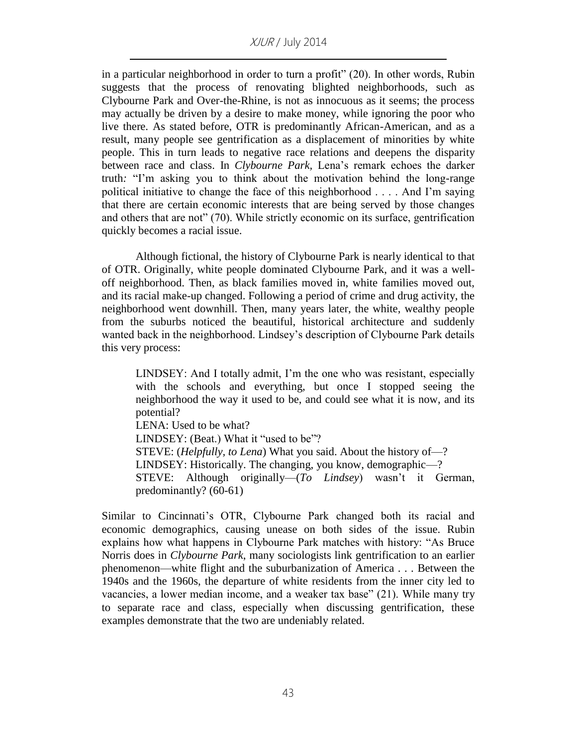in a particular neighborhood in order to turn a profit" (20). In other words, Rubin suggests that the process of renovating blighted neighborhoods, such as Clybourne Park and Over-the-Rhine, is not as innocuous as it seems; the process may actually be driven by a desire to make money, while ignoring the poor who live there. As stated before, OTR is predominantly African-American, and as a result, many people see gentrification as a displacement of minorities by white people. This in turn leads to negative race relations and deepens the disparity between race and class. In *Clybourne Park,* Lena's remark echoes the darker truth*:* "I'm asking you to think about the motivation behind the long-range political initiative to change the face of this neighborhood . . . . And I'm saying that there are certain economic interests that are being served by those changes and others that are not" (70). While strictly economic on its surface, gentrification quickly becomes a racial issue.

Although fictional, the history of Clybourne Park is nearly identical to that of OTR. Originally, white people dominated Clybourne Park, and it was a welloff neighborhood. Then, as black families moved in, white families moved out, and its racial make-up changed. Following a period of crime and drug activity, the neighborhood went downhill. Then, many years later, the white, wealthy people from the suburbs noticed the beautiful, historical architecture and suddenly wanted back in the neighborhood. Lindsey's description of Clybourne Park details this very process:

LINDSEY: And I totally admit, I'm the one who was resistant, especially with the schools and everything, but once I stopped seeing the neighborhood the way it used to be, and could see what it is now, and its potential? LENA: Used to be what? LINDSEY: (Beat.) What it "used to be"? STEVE: (*Helpfully, to Lena*) What you said. About the history of—? LINDSEY: Historically. The changing, you know, demographic—? STEVE: Although originally—(*To Lindsey*) wasn't it German,

predominantly? (60-61)

Similar to Cincinnati's OTR, Clybourne Park changed both its racial and economic demographics, causing unease on both sides of the issue. Rubin explains how what happens in Clybourne Park matches with history: "As Bruce Norris does in *Clybourne Park*, many sociologists link gentrification to an earlier phenomenon—white flight and the suburbanization of America . . . Between the 1940s and the 1960s, the departure of white residents from the inner city led to vacancies, a lower median income, and a weaker tax base" (21). While many try to separate race and class, especially when discussing gentrification, these examples demonstrate that the two are undeniably related.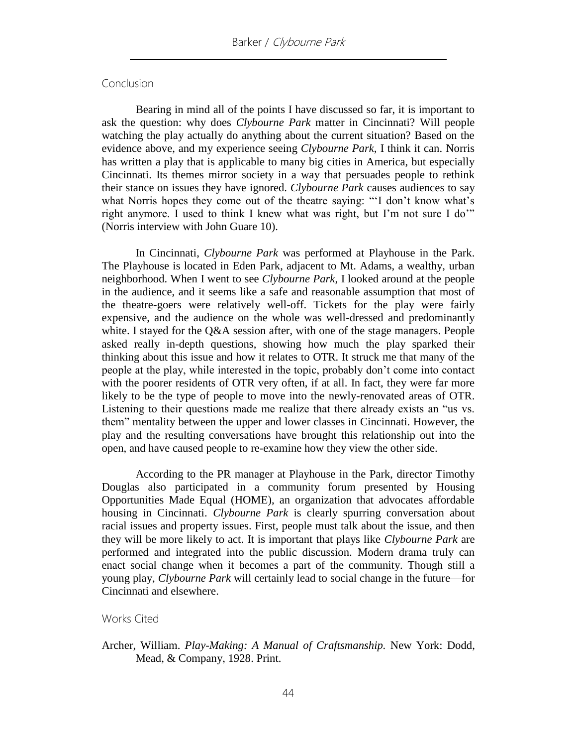#### **Conclusion**

Bearing in mind all of the points I have discussed so far, it is important to ask the question: why does *Clybourne Park* matter in Cincinnati? Will people watching the play actually do anything about the current situation? Based on the evidence above, and my experience seeing *Clybourne Park*, I think it can. Norris has written a play that is applicable to many big cities in America, but especially Cincinnati. Its themes mirror society in a way that persuades people to rethink their stance on issues they have ignored. *Clybourne Park* causes audiences to say what Norris hopes they come out of the theatre saying: "'I don't know what's right anymore. I used to think I knew what was right, but I'm not sure I do'" (Norris interview with John Guare 10).

In Cincinnati, *Clybourne Park* was performed at Playhouse in the Park. The Playhouse is located in Eden Park, adjacent to Mt. Adams, a wealthy, urban neighborhood. When I went to see *Clybourne Park*, I looked around at the people in the audience, and it seems like a safe and reasonable assumption that most of the theatre-goers were relatively well-off. Tickets for the play were fairly expensive, and the audience on the whole was well-dressed and predominantly white. I stayed for the Q&A session after, with one of the stage managers. People asked really in-depth questions, showing how much the play sparked their thinking about this issue and how it relates to OTR. It struck me that many of the people at the play, while interested in the topic, probably don't come into contact with the poorer residents of OTR very often, if at all. In fact, they were far more likely to be the type of people to move into the newly-renovated areas of OTR. Listening to their questions made me realize that there already exists an "us vs. them" mentality between the upper and lower classes in Cincinnati. However, the play and the resulting conversations have brought this relationship out into the open, and have caused people to re-examine how they view the other side.

According to the PR manager at Playhouse in the Park, director Timothy Douglas also participated in a community forum presented by Housing Opportunities Made Equal (HOME), an organization that advocates affordable housing in Cincinnati. *Clybourne Park* is clearly spurring conversation about racial issues and property issues. First, people must talk about the issue, and then they will be more likely to act. It is important that plays like *Clybourne Park* are performed and integrated into the public discussion. Modern drama truly can enact social change when it becomes a part of the community. Though still a young play, *Clybourne Park* will certainly lead to social change in the future—for Cincinnati and elsewhere.

#### Works Cited

Archer, William. *Play-Making: A Manual of Craftsmanship.* New York: Dodd, Mead, & Company, 1928. Print.